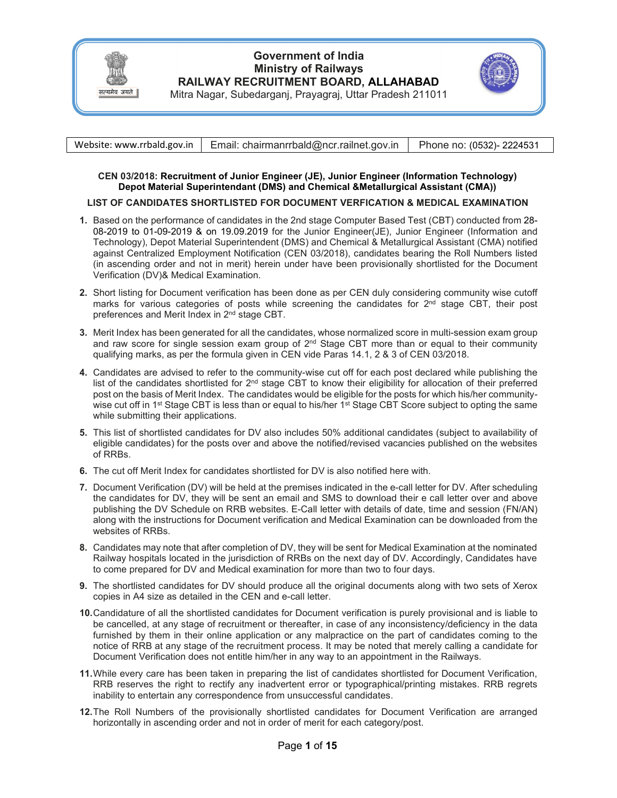

# **Government of India Ministry of Railways RAILWAY RECRUITMENT BOARD, ALLAHABAD**



Mitra Nagar, Subedarganj, Prayagraj, Uttar Pradesh 211011

|  | Website: www.rrbald.gov.in   Email: chairmanrrbald@ncr.railnet.gov.in | Phone no: (0532)- 2224531 |
|--|-----------------------------------------------------------------------|---------------------------|
|--|-----------------------------------------------------------------------|---------------------------|

### **CEN 03/2018: Recruitment of Junior Engineer (JE), Junior Engineer (Information Technology) Depot Material Superintendant (DMS) and Chemical &Metallurgical Assistant (CMA))**

### **LIST OF CANDIDATES SHORTLISTED FOR DOCUMENT VERFICATION & MEDICAL EXAMINATION**

- **1.** Based on the performance of candidates in the 2nd stage Computer Based Test (CBT) conducted from 28- 08-2019 to 01-09-2019 & on 19.09.2019 for the Junior Engineer(JE), Junior Engineer (Information and Technology), Depot Material Superintendent (DMS) and Chemical & Metallurgical Assistant (CMA) notified against Centralized Employment Notification (CEN 03/2018), candidates bearing the Roll Numbers listed (in ascending order and not in merit) herein under have been provisionally shortlisted for the Document Verification (DV)& Medical Examination.
- **2.** Short listing for Document verification has been done as per CEN duly considering community wise cutoff marks for various categories of posts while screening the candidates for 2<sup>nd</sup> stage CBT, their post preferences and Merit Index in 2nd stage CBT.
- **3.** Merit Index has been generated for all the candidates, whose normalized score in multi-session exam group and raw score for single session exam group of  $2<sup>nd</sup>$  Stage CBT more than or equal to their community qualifying marks, as per the formula given in CEN vide Paras 14.1, 2 & 3 of CEN 03/2018.
- **4.** Candidates are advised to refer to the community-wise cut off for each post declared while publishing the list of the candidates shortlisted for  $2<sup>nd</sup>$  stage CBT to know their eligibility for allocation of their preferred post on the basis of Merit Index. The candidates would be eligible for the posts for which his/her communitywise cut off in 1<sup>st</sup> Stage CBT is less than or equal to his/her 1<sup>st</sup> Stage CBT Score subject to opting the same while submitting their applications.
- **5.** This list of shortlisted candidates for DV also includes 50% additional candidates (subject to availability of eligible candidates) for the posts over and above the notified/revised vacancies published on the websites of RRBs.
- **6.** The cut off Merit Index for candidates shortlisted for DV is also notified here with.
- **7.** Document Verification (DV) will be held at the premises indicated in the e-call letter for DV. After scheduling the candidates for DV, they will be sent an email and SMS to download their e call letter over and above publishing the DV Schedule on RRB websites. E-Call letter with details of date, time and session (FN/AN) along with the instructions for Document verification and Medical Examination can be downloaded from the websites of RRBs.
- **8.** Candidates may note that after completion of DV, they will be sent for Medical Examination at the nominated Railway hospitals located in the jurisdiction of RRBs on the next day of DV. Accordingly, Candidates have to come prepared for DV and Medical examination for more than two to four days.
- **9.** The shortlisted candidates for DV should produce all the original documents along with two sets of Xerox copies in A4 size as detailed in the CEN and e-call letter.
- **10.** Candidature of all the shortlisted candidates for Document verification is purely provisional and is liable to be cancelled, at any stage of recruitment or thereafter, in case of any inconsistency/deficiency in the data furnished by them in their online application or any malpractice on the part of candidates coming to the notice of RRB at any stage of the recruitment process. It may be noted that merely calling a candidate for Document Verification does not entitle him/her in any way to an appointment in the Railways.
- **11.** While every care has been taken in preparing the list of candidates shortlisted for Document Verification, RRB reserves the right to rectify any inadvertent error or typographical/printing mistakes. RRB regrets inability to entertain any correspondence from unsuccessful candidates.
- **12.** The Roll Numbers of the provisionally shortlisted candidates for Document Verification are arranged horizontally in ascending order and not in order of merit for each category/post.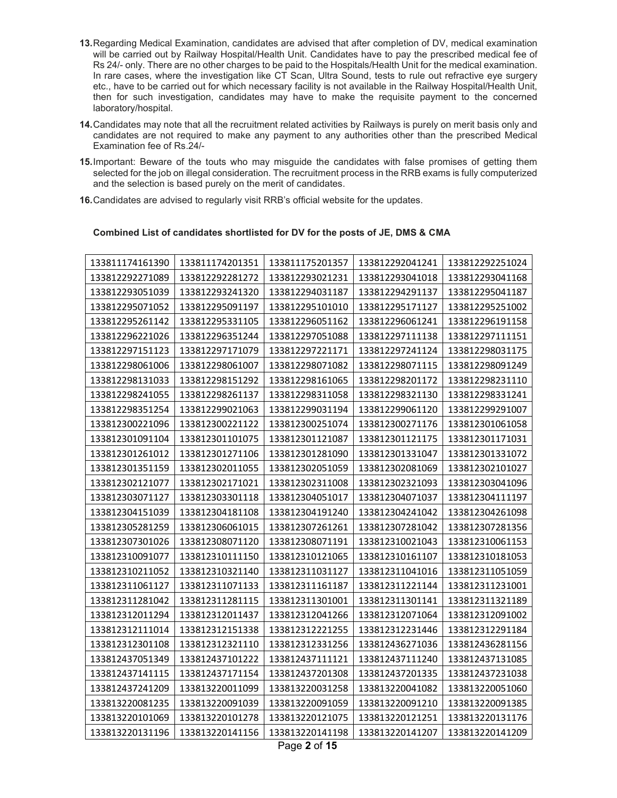- **13.** Regarding Medical Examination, candidates are advised that after completion of DV, medical examination will be carried out by Railway Hospital/Health Unit. Candidates have to pay the prescribed medical fee of Rs 24/- only. There are no other charges to be paid to the Hospitals/Health Unit for the medical examination. In rare cases, where the investigation like CT Scan, Ultra Sound, tests to rule out refractive eye surgery etc., have to be carried out for which necessary facility is not available in the Railway Hospital/Health Unit, then for such investigation, candidates may have to make the requisite payment to the concerned laboratory/hospital.
- **14.** Candidates may note that all the recruitment related activities by Railways is purely on merit basis only and candidates are not required to make any payment to any authorities other than the prescribed Medical Examination fee of Rs.24/-
- **15.** Important: Beware of the touts who may misguide the candidates with false promises of getting them selected for the job on illegal consideration. The recruitment process in the RRB exams is fully computerized and the selection is based purely on the merit of candidates.
- **16.** Candidates are advised to regularly visit RRB's official website for the updates.

#### **Combined List of candidates shortlisted for DV for the posts of JE, DMS & CMA**

| 133811174161390 | 133811174201351 | 133811175201357 | 133812292041241 | 133812292251024 |
|-----------------|-----------------|-----------------|-----------------|-----------------|
| 133812292271089 | 133812292281272 | 133812293021231 | 133812293041018 | 133812293041168 |
| 133812293051039 | 133812293241320 | 133812294031187 | 133812294291137 | 133812295041187 |
| 133812295071052 | 133812295091197 | 133812295101010 | 133812295171127 | 133812295251002 |
| 133812295261142 | 133812295331105 | 133812296051162 | 133812296061241 | 133812296191158 |
| 133812296221026 | 133812296351244 | 133812297051088 | 133812297111138 | 133812297111151 |
| 133812297151123 | 133812297171079 | 133812297221171 | 133812297241124 | 133812298031175 |
| 133812298061006 | 133812298061007 | 133812298071082 | 133812298071115 | 133812298091249 |
| 133812298131033 | 133812298151292 | 133812298161065 | 133812298201172 | 133812298231110 |
| 133812298241055 | 133812298261137 | 133812298311058 | 133812298321130 | 133812298331241 |
| 133812298351254 | 133812299021063 | 133812299031194 | 133812299061120 | 133812299291007 |
| 133812300221096 | 133812300221122 | 133812300251074 | 133812300271176 | 133812301061058 |
| 133812301091104 | 133812301101075 | 133812301121087 | 133812301121175 | 133812301171031 |
| 133812301261012 | 133812301271106 | 133812301281090 | 133812301331047 | 133812301331072 |
| 133812301351159 | 133812302011055 | 133812302051059 | 133812302081069 | 133812302101027 |
| 133812302121077 | 133812302171021 | 133812302311008 | 133812302321093 | 133812303041096 |
| 133812303071127 | 133812303301118 | 133812304051017 | 133812304071037 | 133812304111197 |
| 133812304151039 | 133812304181108 | 133812304191240 | 133812304241042 | 133812304261098 |
| 133812305281259 | 133812306061015 | 133812307261261 | 133812307281042 | 133812307281356 |
| 133812307301026 | 133812308071120 | 133812308071191 | 133812310021043 | 133812310061153 |
| 133812310091077 | 133812310111150 | 133812310121065 | 133812310161107 | 133812310181053 |
| 133812310211052 | 133812310321140 | 133812311031127 | 133812311041016 | 133812311051059 |
| 133812311061127 | 133812311071133 | 133812311161187 | 133812311221144 | 133812311231001 |
| 133812311281042 | 133812311281115 | 133812311301001 | 133812311301141 | 133812311321189 |
| 133812312011294 | 133812312011437 | 133812312041266 | 133812312071064 | 133812312091002 |
| 133812312111014 | 133812312151338 | 133812312221255 | 133812312231446 | 133812312291184 |
| 133812312301108 | 133812312321110 | 133812312331256 | 133812436271036 | 133812436281156 |
| 133812437051349 | 133812437101222 | 133812437111121 | 133812437111240 | 133812437131085 |
| 133812437141115 | 133812437171154 | 133812437201308 | 133812437201335 | 133812437231038 |
| 133812437241209 | 133813220011099 | 133813220031258 | 133813220041082 | 133813220051060 |
| 133813220081235 | 133813220091039 | 133813220091059 | 133813220091210 | 133813220091385 |
| 133813220101069 | 133813220101278 | 133813220121075 | 133813220121251 | 133813220131176 |
| 133813220131196 | 133813220141156 | 133813220141198 | 133813220141207 | 133813220141209 |

Page **2** of **15**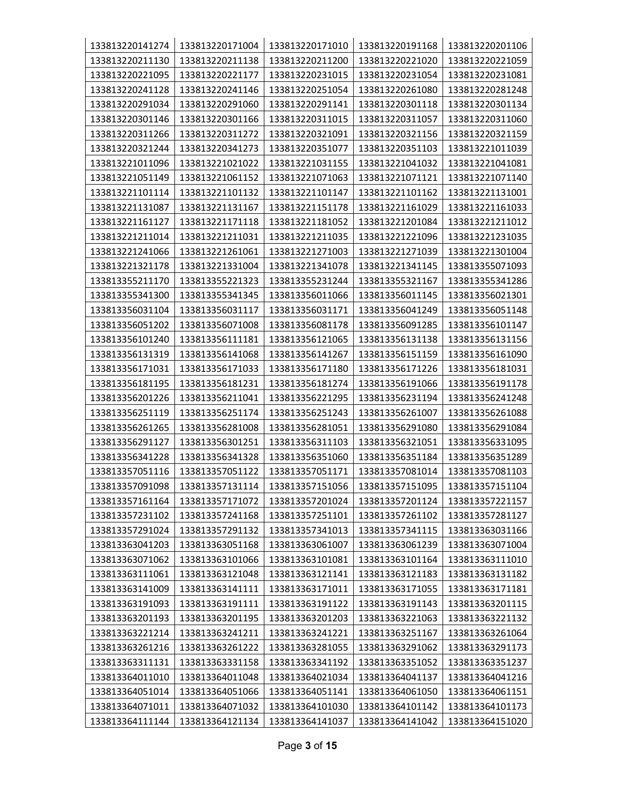| 133813220141274 | 133813220171004 | 133813220171010 | 133813220191168 | 133813220201106 |
|-----------------|-----------------|-----------------|-----------------|-----------------|
| 133813220211130 | 133813220211138 | 133813220211200 | 133813220221020 | 133813220221059 |
| 133813220221095 | 133813220221177 | 133813220231015 | 133813220231054 | 133813220231081 |
| 133813220241128 | 133813220241146 | 133813220251054 | 133813220261080 | 133813220281248 |
| 133813220291034 | 133813220291060 | 133813220291141 | 133813220301118 | 133813220301134 |
| 133813220301146 | 133813220301166 | 133813220311015 | 133813220311057 | 133813220311060 |
| 133813220311266 | 133813220311272 | 133813220321091 | 133813220321156 | 133813220321159 |
| 133813220321244 | 133813220341273 | 133813220351077 | 133813220351103 | 133813221011039 |
| 133813221011096 | 133813221021022 | 133813221031155 | 133813221041032 | 133813221041081 |
| 133813221051149 | 133813221061152 | 133813221071063 | 133813221071121 | 133813221071140 |
| 133813221101114 | 133813221101132 | 133813221101147 | 133813221101162 | 133813221131001 |
| 133813221131087 | 133813221131167 | 133813221151178 | 133813221161029 | 133813221161033 |
| 133813221161127 | 133813221171118 | 133813221181052 | 133813221201084 | 133813221211012 |
| 133813221211014 | 133813221211031 | 133813221211035 | 133813221221096 | 133813221231035 |
| 133813221241066 | 133813221261061 | 133813221271003 | 133813221271039 | 133813221301004 |
| 133813221321178 | 133813221331004 | 133813221341078 | 133813221341145 | 133813355071093 |
| 133813355211170 | 133813355221323 | 133813355231244 | 133813355321167 | 133813355341286 |
| 133813355341300 | 133813355341345 | 133813356011066 | 133813356011145 | 133813356021301 |
| 133813356031104 | 133813356031117 | 133813356031171 | 133813356041249 | 133813356051148 |
| 133813356051202 | 133813356071008 | 133813356081178 | 133813356091285 | 133813356101147 |
| 133813356101240 | 133813356111181 | 133813356121065 | 133813356131138 | 133813356131156 |
| 133813356131319 | 133813356141068 | 133813356141267 | 133813356151159 | 133813356161090 |
| 133813356171031 | 133813356171033 | 133813356171180 | 133813356171226 | 133813356181031 |
| 133813356181195 | 133813356181231 | 133813356181274 | 133813356191066 | 133813356191178 |
| 133813356201226 | 133813356211041 | 133813356221295 | 133813356231194 | 133813356241248 |
| 133813356251119 | 133813356251174 | 133813356251243 | 133813356261007 | 133813356261088 |
| 133813356261265 | 133813356281008 | 133813356281051 | 133813356291080 | 133813356291084 |
| 133813356291127 | 133813356301251 | 133813356311103 | 133813356321051 | 133813356331095 |
| 133813356341228 | 133813356341328 | 133813356351060 | 133813356351184 | 133813356351289 |
| 133813357051116 | 133813357051122 | 133813357051171 | 133813357081014 | 133813357081103 |
| 133813357091098 | 133813357131114 | 133813357151056 | 133813357151095 | 133813357151104 |
| 133813357161164 | 133813357171072 | 133813357201024 | 133813357201124 | 133813357221157 |
| 133813357231102 | 133813357241168 | 133813357251101 | 133813357261102 | 133813357281127 |
| 133813357291024 | 133813357291132 | 133813357341013 | 133813357341115 | 133813363031166 |
| 133813363041203 | 133813363051168 | 133813363061007 | 133813363061239 | 133813363071004 |
| 133813363071062 | 133813363101066 | 133813363101081 | 133813363101164 | 133813363111010 |
| 133813363111061 | 133813363121048 | 133813363121141 | 133813363121183 | 133813363131182 |
| 133813363141009 | 133813363141111 | 133813363171011 | 133813363171055 | 133813363171181 |
| 133813363191093 | 133813363191111 | 133813363191122 | 133813363191143 | 133813363201115 |
| 133813363201193 | 133813363201195 | 133813363201203 | 133813363221063 | 133813363221132 |
| 133813363221214 | 133813363241211 | 133813363241221 | 133813363251167 | 133813363261064 |
| 133813363261216 | 133813363261222 | 133813363281055 | 133813363291062 | 133813363291173 |
| 133813363311131 | 133813363331158 | 133813363341192 | 133813363351052 | 133813363351237 |
| 133813364011010 | 133813364011048 | 133813364021034 | 133813364041137 | 133813364041216 |
| 133813364051014 | 133813364051066 | 133813364051141 | 133813364061050 | 133813364061151 |
| 133813364071011 | 133813364071032 | 133813364101030 | 133813364101142 | 133813364101173 |
| 133813364111144 | 133813364121134 | 133813364141037 | 133813364141042 | 133813364151020 |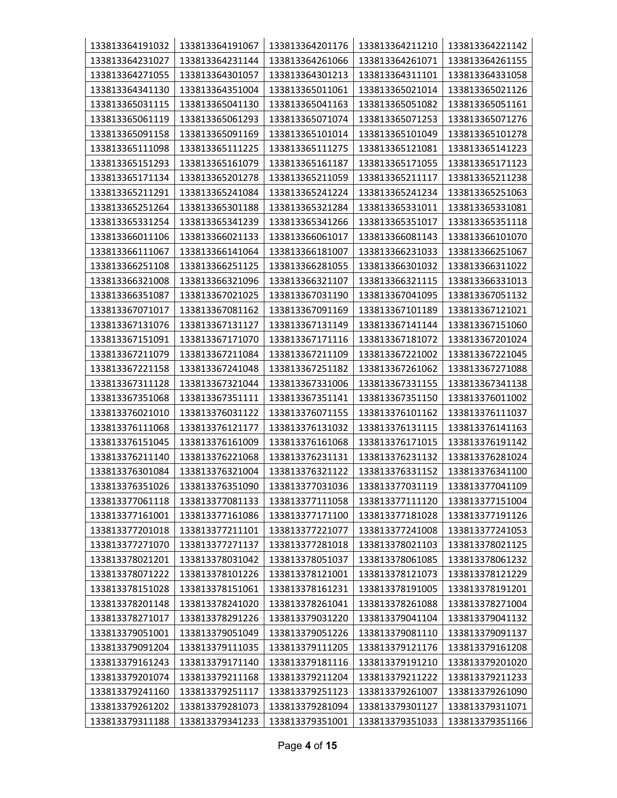| 133813364191032 | 133813364191067 | 133813364201176                    | 133813364211210 | 133813364221142 |  |
|-----------------|-----------------|------------------------------------|-----------------|-----------------|--|
| 133813364231027 | 133813364231144 | 133813364261066                    | 133813364261071 | 133813364261155 |  |
| 133813364271055 | 133813364301057 | 133813364301213                    | 133813364311101 | 133813364331058 |  |
| 133813364341130 | 133813364351004 | 133813365011061                    | 133813365021014 | 133813365021126 |  |
| 133813365031115 | 133813365041130 | 133813365041163                    | 133813365051082 | 133813365051161 |  |
| 133813365061119 | 133813365061293 | 133813365071074                    | 133813365071253 | 133813365071276 |  |
| 133813365091158 | 133813365091169 | 133813365101014                    | 133813365101049 | 133813365101278 |  |
| 133813365111098 | 133813365111225 | 133813365111275                    | 133813365121081 | 133813365141223 |  |
| 133813365151293 | 133813365161079 | 133813365161187                    | 133813365171055 | 133813365171123 |  |
| 133813365171134 | 133813365201278 | 133813365211059                    | 133813365211117 | 133813365211238 |  |
| 133813365211291 | 133813365241084 | 133813365241224                    | 133813365241234 | 133813365251063 |  |
| 133813365251264 | 133813365301188 | 133813365321284                    | 133813365331011 | 133813365331081 |  |
| 133813365331254 | 133813365341239 | 133813365341266                    | 133813365351017 | 133813365351118 |  |
| 133813366011106 | 133813366021133 | 133813366061017                    | 133813366081143 | 133813366101070 |  |
| 133813366111067 | 133813366141064 | 133813366181007                    | 133813366231033 | 133813366251067 |  |
| 133813366251108 | 133813366251125 | 133813366281055                    | 133813366301032 | 133813366311022 |  |
| 133813366321008 | 133813366321096 | 133813366321107                    | 133813366321115 | 133813366331013 |  |
| 133813366351087 | 133813367021025 | 133813367031190                    | 133813367041095 | 133813367051132 |  |
| 133813367071017 | 133813367081162 | 133813367091169                    | 133813367101189 | 133813367121021 |  |
| 133813367131076 | 133813367131127 | 133813367131149                    | 133813367141144 | 133813367151060 |  |
| 133813367151091 | 133813367171070 | 133813367171116                    | 133813367181072 | 133813367201024 |  |
| 133813367211079 | 133813367211084 | 133813367211109                    | 133813367221002 | 133813367221045 |  |
| 133813367221158 | 133813367241048 | 133813367251182<br>133813367261062 |                 | 133813367271088 |  |
| 133813367311128 | 133813367321044 | 133813367331006                    | 133813367331155 | 133813367341138 |  |
| 133813367351068 | 133813367351111 | 133813367351141                    | 133813367351150 | 133813376011002 |  |
| 133813376021010 | 133813376031122 | 133813376071155                    | 133813376101162 | 133813376111037 |  |
| 133813376111068 | 133813376121177 | 133813376131032                    | 133813376131115 | 133813376141163 |  |
| 133813376151045 | 133813376161009 | 133813376161068                    | 133813376171015 | 133813376191142 |  |
| 133813376211140 | 133813376221068 | 133813376231131                    | 133813376231132 | 133813376281024 |  |
| 133813376301084 | 133813376321004 | 133813376321122                    | 133813376331152 | 133813376341100 |  |
| 133813376351026 | 133813376351090 | 133813377031036                    | 133813377031119 | 133813377041109 |  |
| 133813377061118 | 133813377081133 | 133813377111058                    | 133813377111120 | 133813377151004 |  |
| 133813377161001 | 133813377161086 | 133813377171100                    | 133813377181028 | 133813377191126 |  |
| 133813377201018 | 133813377211101 | 133813377221077                    | 133813377241008 | 133813377241053 |  |
| 133813377271070 | 133813377271137 | 133813377281018                    | 133813378021103 | 133813378021125 |  |
| 133813378021201 | 133813378031042 | 133813378051037                    | 133813378061085 | 133813378061232 |  |
| 133813378071222 | 133813378101226 | 133813378121001                    | 133813378121073 | 133813378121229 |  |
| 133813378151028 | 133813378151061 | 133813378161231                    | 133813378191005 | 133813378191201 |  |
| 133813378201148 | 133813378241020 | 133813378261041                    | 133813378261088 | 133813378271004 |  |
| 133813378271017 | 133813378291226 | 133813379031220                    | 133813379041104 | 133813379041132 |  |
| 133813379051001 | 133813379051049 | 133813379051226                    | 133813379081110 | 133813379091137 |  |
| 133813379091204 | 133813379111035 | 133813379111205                    | 133813379121176 | 133813379161208 |  |
| 133813379161243 | 133813379171140 | 133813379181116                    | 133813379191210 | 133813379201020 |  |
| 133813379201074 | 133813379211168 | 133813379211204                    | 133813379211222 | 133813379211233 |  |
| 133813379241160 | 133813379251117 | 133813379251123                    | 133813379261007 | 133813379261090 |  |
| 133813379261202 | 133813379281073 | 133813379281094                    | 133813379301127 | 133813379311071 |  |
| 133813379311188 | 133813379341233 | 133813379351001                    | 133813379351033 | 133813379351166 |  |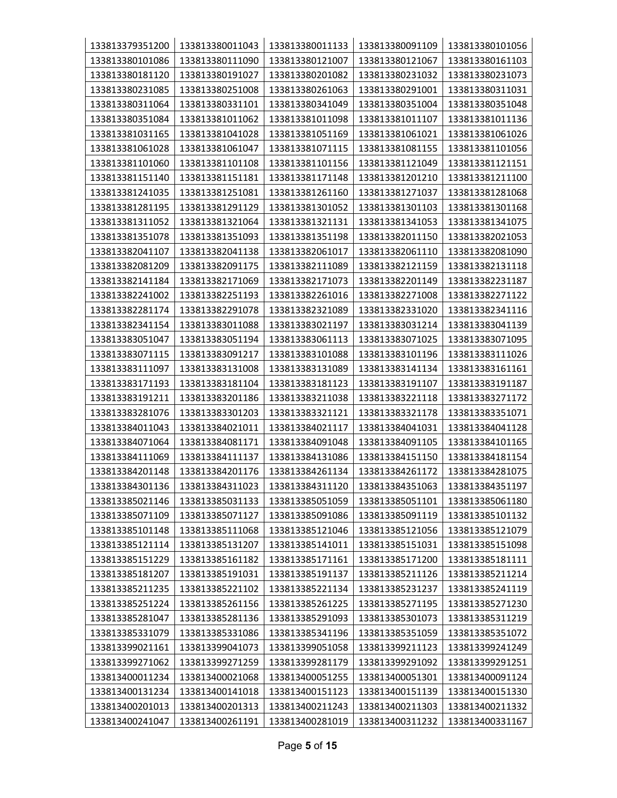| 133813379351200 | 133813380011043 | 133813380011133 | 133813380091109 | 133813380101056 |
|-----------------|-----------------|-----------------|-----------------|-----------------|
| 133813380101086 | 133813380111090 | 133813380121007 | 133813380121067 | 133813380161103 |
| 133813380181120 | 133813380191027 | 133813380201082 | 133813380231032 | 133813380231073 |
| 133813380231085 | 133813380251008 | 133813380261063 | 133813380291001 | 133813380311031 |
| 133813380311064 | 133813380331101 | 133813380341049 | 133813380351004 | 133813380351048 |
| 133813380351084 | 133813381011062 | 133813381011098 | 133813381011107 | 133813381011136 |
| 133813381031165 | 133813381041028 | 133813381051169 | 133813381061021 | 133813381061026 |
| 133813381061028 | 133813381061047 | 133813381071115 | 133813381081155 | 133813381101056 |
| 133813381101060 | 133813381101108 | 133813381101156 | 133813381121049 | 133813381121151 |
| 133813381151140 | 133813381151181 | 133813381171148 | 133813381201210 | 133813381211100 |
| 133813381241035 | 133813381251081 | 133813381261160 | 133813381271037 | 133813381281068 |
| 133813381281195 | 133813381291129 | 133813381301052 | 133813381301103 | 133813381301168 |
| 133813381311052 | 133813381321064 | 133813381321131 | 133813381341053 | 133813381341075 |
| 133813381351078 | 133813381351093 | 133813381351198 | 133813382011150 | 133813382021053 |
| 133813382041107 | 133813382041138 | 133813382061017 | 133813382061110 | 133813382081090 |
| 133813382081209 | 133813382091175 | 133813382111089 | 133813382121159 | 133813382131118 |
| 133813382141184 | 133813382171069 | 133813382171073 | 133813382201149 | 133813382231187 |
| 133813382241002 | 133813382251193 | 133813382261016 | 133813382271008 | 133813382271122 |
| 133813382281174 | 133813382291078 | 133813382321089 | 133813382331020 | 133813382341116 |
| 133813382341154 | 133813383011088 | 133813383021197 | 133813383031214 | 133813383041139 |
| 133813383051047 | 133813383051194 | 133813383061113 | 133813383071025 | 133813383071095 |
| 133813383071115 | 133813383091217 | 133813383101088 | 133813383101196 | 133813383111026 |
| 133813383111097 | 133813383131008 | 133813383131089 | 133813383141134 | 133813383161161 |
| 133813383171193 | 133813383181104 | 133813383181123 | 133813383191107 | 133813383191187 |
| 133813383191211 | 133813383201186 | 133813383211038 | 133813383221118 | 133813383271172 |
| 133813383281076 | 133813383301203 | 133813383321121 | 133813383321178 | 133813383351071 |
| 133813384011043 | 133813384021011 | 133813384021117 | 133813384041031 | 133813384041128 |
| 133813384071064 | 133813384081171 | 133813384091048 | 133813384091105 | 133813384101165 |
| 133813384111069 | 133813384111137 | 133813384131086 | 133813384151150 | 133813384181154 |
| 133813384201148 | 133813384201176 | 133813384261134 | 133813384261172 | 133813384281075 |
| 133813384301136 | 133813384311023 | 133813384311120 | 133813384351063 | 133813384351197 |
| 133813385021146 | 133813385031133 | 133813385051059 | 133813385051101 | 133813385061180 |
| 133813385071109 | 133813385071127 | 133813385091086 | 133813385091119 | 133813385101132 |
| 133813385101148 | 133813385111068 | 133813385121046 | 133813385121056 | 133813385121079 |
| 133813385121114 | 133813385131207 | 133813385141011 | 133813385151031 | 133813385151098 |
| 133813385151229 | 133813385161182 | 133813385171161 | 133813385171200 | 133813385181111 |
| 133813385181207 | 133813385191031 | 133813385191137 | 133813385211126 | 133813385211214 |
| 133813385211235 | 133813385221102 | 133813385221134 | 133813385231237 | 133813385241119 |
| 133813385251224 | 133813385261156 | 133813385261225 | 133813385271195 | 133813385271230 |
| 133813385281047 | 133813385281136 | 133813385291093 | 133813385301073 | 133813385311219 |
| 133813385331079 | 133813385331086 | 133813385341196 | 133813385351059 | 133813385351072 |
| 133813399021161 | 133813399041073 | 133813399051058 | 133813399211123 | 133813399241249 |
| 133813399271062 | 133813399271259 | 133813399281179 | 133813399291092 | 133813399291251 |
| 133813400011234 | 133813400021068 | 133813400051255 | 133813400051301 | 133813400091124 |
| 133813400131234 | 133813400141018 | 133813400151123 | 133813400151139 | 133813400151330 |
| 133813400201013 | 133813400201313 | 133813400211243 | 133813400211303 | 133813400211332 |
| 133813400241047 | 133813400261191 | 133813400281019 | 133813400311232 | 133813400331167 |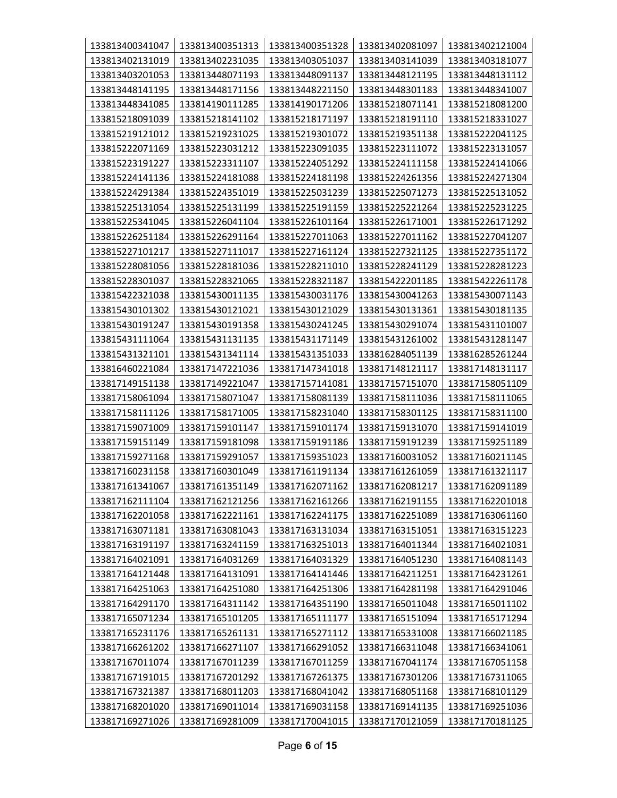| 133813400341047 | 133813400351313 | 133813400351328 | 133813402081097 | 133813402121004 |
|-----------------|-----------------|-----------------|-----------------|-----------------|
| 133813402131019 | 133813402231035 | 133813403051037 | 133813403141039 | 133813403181077 |
| 133813403201053 | 133813448071193 | 133813448091137 | 133813448121195 | 133813448131112 |
| 133813448141195 | 133813448171156 | 133813448221150 | 133813448301183 | 133813448341007 |
| 133813448341085 | 133814190111285 | 133814190171206 | 133815218071141 | 133815218081200 |
| 133815218091039 | 133815218141102 | 133815218171197 | 133815218191110 | 133815218331027 |
| 133815219121012 | 133815219231025 | 133815219301072 | 133815219351138 | 133815222041125 |
| 133815222071169 | 133815223031212 | 133815223091035 | 133815223111072 | 133815223131057 |
| 133815223191227 | 133815223311107 | 133815224051292 | 133815224111158 | 133815224141066 |
| 133815224141136 | 133815224181088 | 133815224181198 | 133815224261356 | 133815224271304 |
| 133815224291384 | 133815224351019 | 133815225031239 | 133815225071273 | 133815225131052 |
| 133815225131054 | 133815225131199 | 133815225191159 | 133815225221264 | 133815225231225 |
| 133815225341045 | 133815226041104 | 133815226101164 | 133815226171001 | 133815226171292 |
| 133815226251184 | 133815226291164 | 133815227011063 | 133815227011162 | 133815227041207 |
| 133815227101217 | 133815227111017 | 133815227161124 | 133815227321125 | 133815227351172 |
| 133815228081056 | 133815228181036 | 133815228211010 | 133815228241129 | 133815228281223 |
| 133815228301037 | 133815228321065 | 133815228321187 | 133815422201185 | 133815422261178 |
| 133815422321038 | 133815430011135 | 133815430031176 | 133815430041263 | 133815430071143 |
| 133815430101302 | 133815430121021 | 133815430121029 | 133815430131361 | 133815430181135 |
| 133815430191247 | 133815430191358 | 133815430241245 | 133815430291074 | 133815431101007 |
| 133815431111064 | 133815431131135 | 133815431171149 | 133815431261002 | 133815431281147 |
| 133815431321101 | 133815431341114 | 133815431351033 | 133816284051139 | 133816285261244 |
| 133816460221084 | 133817147221036 | 133817147341018 | 133817148121117 | 133817148131117 |
| 133817149151138 | 133817149221047 | 133817157141081 | 133817157151070 | 133817158051109 |
| 133817158061094 | 133817158071047 | 133817158081139 | 133817158111036 | 133817158111065 |
| 133817158111126 | 133817158171005 | 133817158231040 | 133817158301125 | 133817158311100 |
| 133817159071009 | 133817159101147 | 133817159101174 | 133817159131070 | 133817159141019 |
| 133817159151149 | 133817159181098 | 133817159191186 | 133817159191239 | 133817159251189 |
| 133817159271168 | 133817159291057 | 133817159351023 | 133817160031052 | 133817160211145 |
| 133817160231158 | 133817160301049 | 133817161191134 | 133817161261059 | 133817161321117 |
| 133817161341067 | 133817161351149 | 133817162071162 | 133817162081217 | 133817162091189 |
| 133817162111104 | 133817162121256 | 133817162161266 | 133817162191155 | 133817162201018 |
| 133817162201058 | 133817162221161 | 133817162241175 | 133817162251089 | 133817163061160 |
| 133817163071181 | 133817163081043 | 133817163131034 | 133817163151051 | 133817163151223 |
| 133817163191197 | 133817163241159 | 133817163251013 | 133817164011344 | 133817164021031 |
| 133817164021091 | 133817164031269 | 133817164031329 | 133817164051230 | 133817164081143 |
| 133817164121448 | 133817164131091 | 133817164141446 | 133817164211251 | 133817164231261 |
| 133817164251063 | 133817164251080 | 133817164251306 | 133817164281198 | 133817164291046 |
| 133817164291170 | 133817164311142 | 133817164351190 | 133817165011048 | 133817165011102 |
| 133817165071234 | 133817165101205 | 133817165111177 | 133817165151094 | 133817165171294 |
| 133817165231176 | 133817165261131 | 133817165271112 | 133817165331008 | 133817166021185 |
| 133817166261202 | 133817166271107 | 133817166291052 | 133817166311048 | 133817166341061 |
| 133817167011074 | 133817167011239 | 133817167011259 | 133817167041174 | 133817167051158 |
| 133817167191015 | 133817167201292 | 133817167261375 | 133817167301206 | 133817167311065 |
| 133817167321387 | 133817168011203 | 133817168041042 | 133817168051168 | 133817168101129 |
| 133817168201020 | 133817169011014 | 133817169031158 | 133817169141135 | 133817169251036 |
| 133817169271026 | 133817169281009 | 133817170041015 | 133817170121059 | 133817170181125 |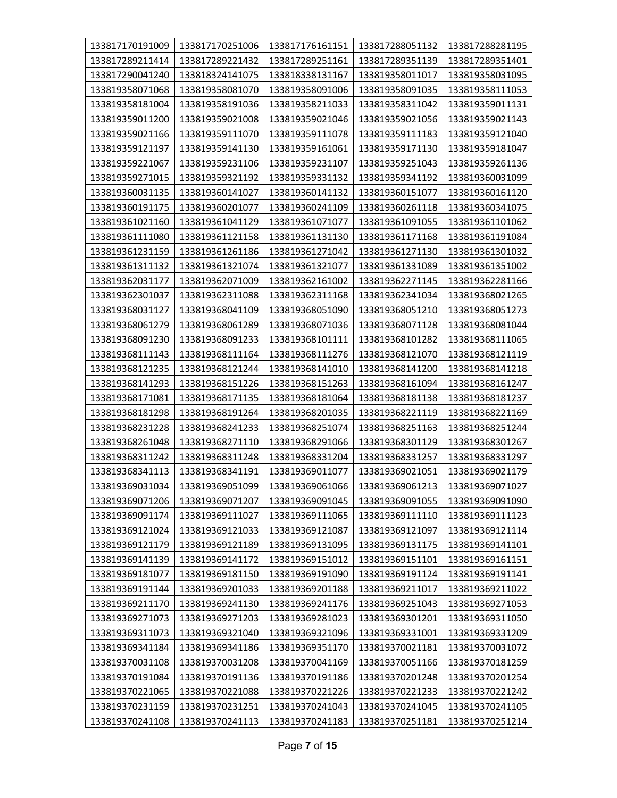| 133817170191009 | 133817170251006 | 133817176161151 | 133817288051132 | 133817288281195 |
|-----------------|-----------------|-----------------|-----------------|-----------------|
| 133817289211414 | 133817289221432 | 133817289251161 | 133817289351139 | 133817289351401 |
| 133817290041240 | 133818324141075 | 133818338131167 | 133819358011017 | 133819358031095 |
| 133819358071068 | 133819358081070 | 133819358091006 | 133819358091035 | 133819358111053 |
| 133819358181004 | 133819358191036 | 133819358211033 | 133819358311042 | 133819359011131 |
| 133819359011200 | 133819359021008 | 133819359021046 | 133819359021056 | 133819359021143 |
| 133819359021166 | 133819359111070 | 133819359111078 | 133819359111183 | 133819359121040 |
| 133819359121197 | 133819359141130 | 133819359161061 | 133819359171130 | 133819359181047 |
| 133819359221067 | 133819359231106 | 133819359231107 | 133819359251043 | 133819359261136 |
| 133819359271015 | 133819359321192 | 133819359331132 | 133819359341192 | 133819360031099 |
| 133819360031135 | 133819360141027 | 133819360141132 | 133819360151077 | 133819360161120 |
| 133819360191175 | 133819360201077 | 133819360241109 | 133819360261118 | 133819360341075 |
| 133819361021160 | 133819361041129 | 133819361071077 | 133819361091055 | 133819361101062 |
| 133819361111080 | 133819361121158 | 133819361131130 | 133819361171168 | 133819361191084 |
| 133819361231159 | 133819361261186 | 133819361271042 | 133819361271130 | 133819361301032 |
| 133819361311132 | 133819361321074 | 133819361321077 | 133819361331089 | 133819361351002 |
| 133819362031177 | 133819362071009 | 133819362161002 | 133819362271145 | 133819362281166 |
| 133819362301037 | 133819362311088 | 133819362311168 | 133819362341034 | 133819368021265 |
| 133819368031127 | 133819368041109 | 133819368051090 | 133819368051210 | 133819368051273 |
| 133819368061279 | 133819368061289 | 133819368071036 | 133819368071128 | 133819368081044 |
| 133819368091230 | 133819368091233 | 133819368101111 | 133819368101282 | 133819368111065 |
| 133819368111143 | 133819368111164 | 133819368111276 | 133819368121070 | 133819368121119 |
| 133819368121235 | 133819368121244 | 133819368141010 | 133819368141200 | 133819368141218 |
| 133819368141293 | 133819368151226 | 133819368151263 | 133819368161094 | 133819368161247 |
| 133819368171081 | 133819368171135 | 133819368181064 | 133819368181138 | 133819368181237 |
| 133819368181298 | 133819368191264 | 133819368201035 | 133819368221119 | 133819368221169 |
| 133819368231228 | 133819368241233 | 133819368251074 | 133819368251163 | 133819368251244 |
| 133819368261048 | 133819368271110 | 133819368291066 | 133819368301129 | 133819368301267 |
| 133819368311242 | 133819368311248 | 133819368331204 | 133819368331257 | 133819368331297 |
| 133819368341113 | 133819368341191 | 133819369011077 | 133819369021051 | 133819369021179 |
| 133819369031034 | 133819369051099 | 133819369061066 | 133819369061213 | 133819369071027 |
| 133819369071206 | 133819369071207 | 133819369091045 | 133819369091055 | 133819369091090 |
| 133819369091174 | 133819369111027 | 133819369111065 | 133819369111110 | 133819369111123 |
| 133819369121024 | 133819369121033 | 133819369121087 | 133819369121097 | 133819369121114 |
| 133819369121179 | 133819369121189 | 133819369131095 | 133819369131175 | 133819369141101 |
| 133819369141139 | 133819369141172 | 133819369151012 | 133819369151101 | 133819369161151 |
| 133819369181077 | 133819369181150 | 133819369191090 | 133819369191124 | 133819369191141 |
| 133819369191144 | 133819369201033 | 133819369201188 | 133819369211017 | 133819369211022 |
| 133819369211170 | 133819369241130 | 133819369241176 | 133819369251043 | 133819369271053 |
| 133819369271073 | 133819369271203 | 133819369281023 | 133819369301201 | 133819369311050 |
| 133819369311073 | 133819369321040 | 133819369321096 | 133819369331001 | 133819369331209 |
| 133819369341184 | 133819369341186 | 133819369351170 | 133819370021181 | 133819370031072 |
| 133819370031108 | 133819370031208 | 133819370041169 | 133819370051166 | 133819370181259 |
| 133819370191084 | 133819370191136 | 133819370191186 | 133819370201248 | 133819370201254 |
| 133819370221065 | 133819370221088 | 133819370221226 | 133819370221233 | 133819370221242 |
| 133819370231159 | 133819370231251 | 133819370241043 | 133819370241045 | 133819370241105 |
| 133819370241108 | 133819370241113 | 133819370241183 | 133819370251181 | 133819370251214 |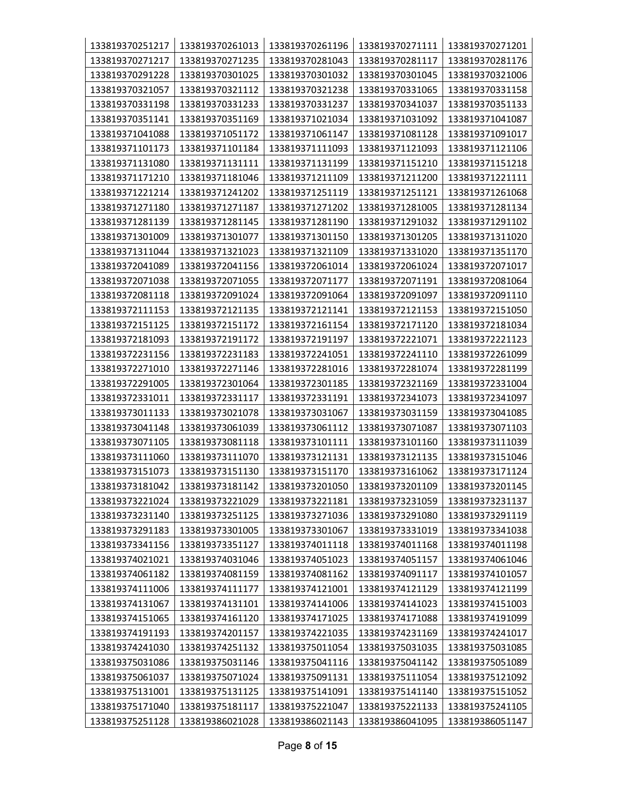| 133819370251217 | 133819370261013 | 133819370261196 | 133819370271111 | 133819370271201 |
|-----------------|-----------------|-----------------|-----------------|-----------------|
| 133819370271217 | 133819370271235 | 133819370281043 | 133819370281117 | 133819370281176 |
| 133819370291228 | 133819370301025 | 133819370301032 | 133819370301045 | 133819370321006 |
| 133819370321057 | 133819370321112 | 133819370321238 | 133819370331065 | 133819370331158 |
| 133819370331198 | 133819370331233 | 133819370331237 | 133819370341037 | 133819370351133 |
| 133819370351141 | 133819370351169 | 133819371021034 | 133819371031092 | 133819371041087 |
| 133819371041088 | 133819371051172 | 133819371061147 | 133819371081128 | 133819371091017 |
| 133819371101173 | 133819371101184 | 133819371111093 | 133819371121093 | 133819371121106 |
| 133819371131080 | 133819371131111 | 133819371131199 | 133819371151210 | 133819371151218 |
| 133819371171210 | 133819371181046 | 133819371211109 | 133819371211200 | 133819371221111 |
| 133819371221214 | 133819371241202 | 133819371251119 | 133819371251121 | 133819371261068 |
| 133819371271180 | 133819371271187 | 133819371271202 | 133819371281005 | 133819371281134 |
| 133819371281139 | 133819371281145 | 133819371281190 | 133819371291032 | 133819371291102 |
| 133819371301009 | 133819371301077 | 133819371301150 | 133819371301205 | 133819371311020 |
| 133819371311044 | 133819371321023 | 133819371321109 | 133819371331020 | 133819371351170 |
| 133819372041089 | 133819372041156 | 133819372061014 | 133819372061024 | 133819372071017 |
| 133819372071038 | 133819372071055 | 133819372071177 | 133819372071191 | 133819372081064 |
| 133819372081118 | 133819372091024 | 133819372091064 | 133819372091097 | 133819372091110 |
| 133819372111153 | 133819372121135 | 133819372121141 | 133819372121153 | 133819372151050 |
| 133819372151125 | 133819372151172 | 133819372161154 | 133819372171120 | 133819372181034 |
| 133819372181093 | 133819372191172 | 133819372191197 | 133819372221071 | 133819372221123 |
| 133819372231156 | 133819372231183 | 133819372241051 | 133819372241110 | 133819372261099 |
| 133819372271010 | 133819372271146 | 133819372281016 | 133819372281074 | 133819372281199 |
| 133819372291005 | 133819372301064 | 133819372301185 | 133819372321169 | 133819372331004 |
| 133819372331011 | 133819372331117 | 133819372331191 | 133819372341073 | 133819372341097 |
| 133819373011133 | 133819373021078 | 133819373031067 | 133819373031159 | 133819373041085 |
| 133819373041148 | 133819373061039 | 133819373061112 | 133819373071087 | 133819373071103 |
| 133819373071105 | 133819373081118 | 133819373101111 | 133819373101160 | 133819373111039 |
| 133819373111060 | 133819373111070 | 133819373121131 | 133819373121135 | 133819373151046 |
| 133819373151073 | 133819373151130 | 133819373151170 | 133819373161062 | 133819373171124 |
| 133819373181042 | 133819373181142 | 133819373201050 | 133819373201109 | 133819373201145 |
| 133819373221024 | 133819373221029 | 133819373221181 | 133819373231059 | 133819373231137 |
| 133819373231140 | 133819373251125 | 133819373271036 | 133819373291080 | 133819373291119 |
| 133819373291183 | 133819373301005 | 133819373301067 | 133819373331019 | 133819373341038 |
| 133819373341156 | 133819373351127 | 133819374011118 | 133819374011168 | 133819374011198 |
| 133819374021021 | 133819374031046 | 133819374051023 | 133819374051157 | 133819374061046 |
| 133819374061182 | 133819374081159 | 133819374081162 | 133819374091117 | 133819374101057 |
| 133819374111006 | 133819374111177 | 133819374121001 | 133819374121129 | 133819374121199 |
| 133819374131067 | 133819374131101 | 133819374141006 | 133819374141023 | 133819374151003 |
| 133819374151065 | 133819374161120 | 133819374171025 | 133819374171088 | 133819374191099 |
| 133819374191193 | 133819374201157 | 133819374221035 | 133819374231169 | 133819374241017 |
| 133819374241030 | 133819374251132 | 133819375011054 | 133819375031035 | 133819375031085 |
| 133819375031086 | 133819375031146 | 133819375041116 | 133819375041142 | 133819375051089 |
| 133819375061037 | 133819375071024 | 133819375091131 | 133819375111054 | 133819375121092 |
| 133819375131001 | 133819375131125 | 133819375141091 | 133819375141140 | 133819375151052 |
| 133819375171040 | 133819375181117 | 133819375221047 | 133819375221133 | 133819375241105 |
| 133819375251128 | 133819386021028 | 133819386021143 | 133819386041095 | 133819386051147 |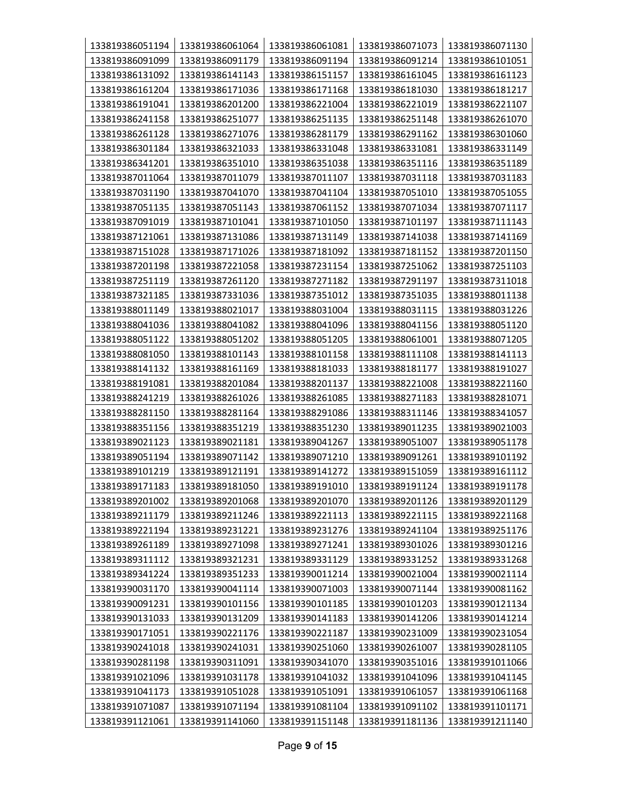| 133819386051194 | 133819386061064 | 133819386061081 | 133819386071073 | 133819386071130 |
|-----------------|-----------------|-----------------|-----------------|-----------------|
| 133819386091099 | 133819386091179 | 133819386091194 | 133819386091214 | 133819386101051 |
| 133819386131092 | 133819386141143 | 133819386151157 | 133819386161045 | 133819386161123 |
| 133819386161204 | 133819386171036 | 133819386171168 | 133819386181030 | 133819386181217 |
| 133819386191041 | 133819386201200 | 133819386221004 | 133819386221019 | 133819386221107 |
| 133819386241158 | 133819386251077 | 133819386251135 | 133819386251148 | 133819386261070 |
| 133819386261128 | 133819386271076 | 133819386281179 | 133819386291162 | 133819386301060 |
| 133819386301184 | 133819386321033 | 133819386331048 | 133819386331081 | 133819386331149 |
| 133819386341201 | 133819386351010 | 133819386351038 | 133819386351116 | 133819386351189 |
| 133819387011064 | 133819387011079 | 133819387011107 | 133819387031118 | 133819387031183 |
| 133819387031190 | 133819387041070 | 133819387041104 | 133819387051010 | 133819387051055 |
| 133819387051135 | 133819387051143 | 133819387061152 | 133819387071034 | 133819387071117 |
| 133819387091019 | 133819387101041 | 133819387101050 | 133819387101197 | 133819387111143 |
| 133819387121061 | 133819387131086 | 133819387131149 | 133819387141038 | 133819387141169 |
| 133819387151028 | 133819387171026 | 133819387181092 | 133819387181152 | 133819387201150 |
| 133819387201198 | 133819387221058 | 133819387231154 | 133819387251062 | 133819387251103 |
| 133819387251119 | 133819387261120 | 133819387271182 | 133819387291197 | 133819387311018 |
| 133819387321185 | 133819387331036 | 133819387351012 | 133819387351035 | 133819388011138 |
| 133819388011149 | 133819388021017 | 133819388031004 | 133819388031115 | 133819388031226 |
| 133819388041036 | 133819388041082 | 133819388041096 | 133819388041156 | 133819388051120 |
| 133819388051122 | 133819388051202 | 133819388051205 | 133819388061001 | 133819388071205 |
| 133819388081050 | 133819388101143 | 133819388101158 | 133819388111108 | 133819388141113 |
| 133819388141132 | 133819388161169 | 133819388181033 | 133819388181177 | 133819388191027 |
| 133819388191081 | 133819388201084 | 133819388201137 | 133819388221008 | 133819388221160 |
| 133819388241219 | 133819388261026 | 133819388261085 | 133819388271183 | 133819388281071 |
| 133819388281150 | 133819388281164 | 133819388291086 | 133819388311146 | 133819388341057 |
| 133819388351156 | 133819388351219 | 133819388351230 | 133819389011235 | 133819389021003 |
| 133819389021123 | 133819389021181 | 133819389041267 | 133819389051007 | 133819389051178 |
| 133819389051194 | 133819389071142 | 133819389071210 | 133819389091261 | 133819389101192 |
| 133819389101219 | 133819389121191 | 133819389141272 | 133819389151059 | 133819389161112 |
| 133819389171183 | 133819389181050 | 133819389191010 | 133819389191124 | 133819389191178 |
| 133819389201002 | 133819389201068 | 133819389201070 | 133819389201126 | 133819389201129 |
| 133819389211179 | 133819389211246 | 133819389221113 | 133819389221115 | 133819389221168 |
| 133819389221194 | 133819389231221 | 133819389231276 | 133819389241104 | 133819389251176 |
| 133819389261189 | 133819389271098 | 133819389271241 | 133819389301026 | 133819389301216 |
| 133819389311112 | 133819389321231 | 133819389331129 | 133819389331252 | 133819389331268 |
| 133819389341224 | 133819389351233 | 133819390011214 | 133819390021004 | 133819390021114 |
| 133819390031170 | 133819390041114 | 133819390071003 | 133819390071144 | 133819390081162 |
| 133819390091231 | 133819390101156 | 133819390101185 | 133819390101203 | 133819390121134 |
| 133819390131033 | 133819390131209 | 133819390141183 | 133819390141206 | 133819390141214 |
| 133819390171051 | 133819390221176 | 133819390221187 | 133819390231009 | 133819390231054 |
| 133819390241018 | 133819390241031 | 133819390251060 | 133819390261007 | 133819390281105 |
| 133819390281198 | 133819390311091 | 133819390341070 | 133819390351016 | 133819391011066 |
| 133819391021096 | 133819391031178 | 133819391041032 | 133819391041096 | 133819391041145 |
| 133819391041173 | 133819391051028 | 133819391051091 | 133819391061057 | 133819391061168 |
| 133819391071087 | 133819391071194 | 133819391081104 | 133819391091102 | 133819391101171 |
| 133819391121061 | 133819391141060 | 133819391151148 | 133819391181136 | 133819391211140 |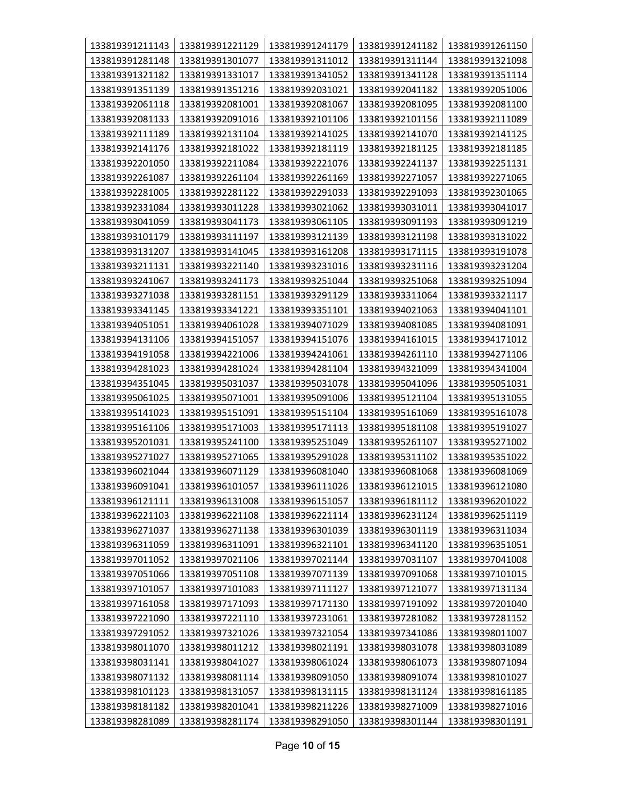| 133819391211143 | 133819391221129 | 133819391241179 | 133819391241182 | 133819391261150 |
|-----------------|-----------------|-----------------|-----------------|-----------------|
| 133819391281148 | 133819391301077 | 133819391311012 | 133819391311144 | 133819391321098 |
| 133819391321182 | 133819391331017 | 133819391341052 | 133819391341128 | 133819391351114 |
| 133819391351139 | 133819391351216 | 133819392031021 | 133819392041182 | 133819392051006 |
| 133819392061118 | 133819392081001 | 133819392081067 | 133819392081095 | 133819392081100 |
| 133819392081133 | 133819392091016 | 133819392101106 | 133819392101156 | 133819392111089 |
| 133819392111189 | 133819392131104 | 133819392141025 | 133819392141070 | 133819392141125 |
| 133819392141176 | 133819392181022 | 133819392181119 | 133819392181125 | 133819392181185 |
| 133819392201050 | 133819392211084 | 133819392221076 | 133819392241137 | 133819392251131 |
| 133819392261087 | 133819392261104 | 133819392261169 | 133819392271057 | 133819392271065 |
| 133819392281005 | 133819392281122 | 133819392291033 | 133819392291093 | 133819392301065 |
| 133819392331084 | 133819393011228 | 133819393021062 | 133819393031011 | 133819393041017 |
| 133819393041059 | 133819393041173 | 133819393061105 | 133819393091193 | 133819393091219 |
| 133819393101179 | 133819393111197 | 133819393121139 | 133819393121198 | 133819393131022 |
| 133819393131207 | 133819393141045 | 133819393161208 | 133819393171115 | 133819393191078 |
| 133819393211131 | 133819393221140 | 133819393231016 | 133819393231116 | 133819393231204 |
| 133819393241067 | 133819393241173 | 133819393251044 | 133819393251068 | 133819393251094 |
| 133819393271038 | 133819393281151 | 133819393291129 | 133819393311064 | 133819393321117 |
| 133819393341145 | 133819393341221 | 133819393351101 | 133819394021063 | 133819394041101 |
| 133819394051051 | 133819394061028 | 133819394071029 | 133819394081085 | 133819394081091 |
| 133819394131106 | 133819394151057 | 133819394151076 | 133819394161015 | 133819394171012 |
| 133819394191058 | 133819394221006 | 133819394241061 | 133819394261110 | 133819394271106 |
| 133819394281023 | 133819394281024 | 133819394281104 | 133819394321099 | 133819394341004 |
| 133819394351045 | 133819395031037 | 133819395031078 | 133819395041096 | 133819395051031 |
| 133819395061025 | 133819395071001 | 133819395091006 | 133819395121104 | 133819395131055 |
| 133819395141023 | 133819395151091 | 133819395151104 | 133819395161069 | 133819395161078 |
| 133819395161106 | 133819395171003 | 133819395171113 | 133819395181108 | 133819395191027 |
| 133819395201031 | 133819395241100 | 133819395251049 | 133819395261107 | 133819395271002 |
| 133819395271027 | 133819395271065 | 133819395291028 | 133819395311102 | 133819395351022 |
| 133819396021044 | 133819396071129 | 133819396081040 | 133819396081068 | 133819396081069 |
| 133819396091041 | 133819396101057 | 133819396111026 | 133819396121015 | 133819396121080 |
| 133819396121111 | 133819396131008 | 133819396151057 | 133819396181112 | 133819396201022 |
| 133819396221103 | 133819396221108 | 133819396221114 | 133819396231124 | 133819396251119 |
| 133819396271037 | 133819396271138 | 133819396301039 | 133819396301119 | 133819396311034 |
| 133819396311059 | 133819396311091 | 133819396321101 | 133819396341120 | 133819396351051 |
| 133819397011052 | 133819397021106 | 133819397021144 | 133819397031107 | 133819397041008 |
| 133819397051066 | 133819397051108 | 133819397071139 | 133819397091068 | 133819397101015 |
| 133819397101057 | 133819397101083 | 133819397111127 | 133819397121077 | 133819397131134 |
| 133819397161058 | 133819397171093 | 133819397171130 | 133819397191092 | 133819397201040 |
| 133819397221090 | 133819397221110 | 133819397231061 | 133819397281082 | 133819397281152 |
| 133819397291052 | 133819397321026 | 133819397321054 | 133819397341086 | 133819398011007 |
| 133819398011070 | 133819398011212 | 133819398021191 | 133819398031078 | 133819398031089 |
| 133819398031141 | 133819398041027 | 133819398061024 | 133819398061073 | 133819398071094 |
| 133819398071132 | 133819398081114 | 133819398091050 | 133819398091074 | 133819398101027 |
| 133819398101123 | 133819398131057 | 133819398131115 | 133819398131124 | 133819398161185 |
| 133819398181182 | 133819398201041 | 133819398211226 | 133819398271009 | 133819398271016 |
| 133819398281089 | 133819398281174 | 133819398291050 | 133819398301144 | 133819398301191 |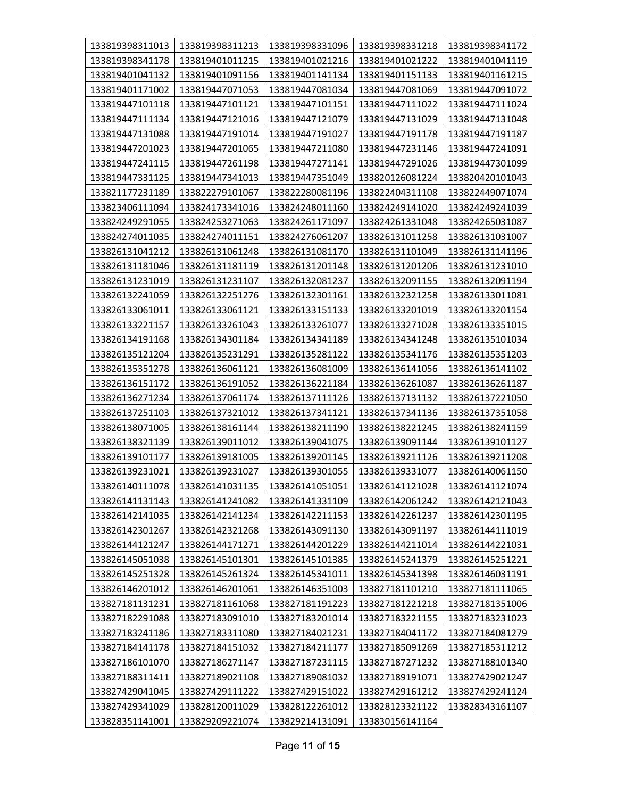| 133819398311013 | 133819398311213 | 133819398331096 | 133819398331218 | 133819398341172 |
|-----------------|-----------------|-----------------|-----------------|-----------------|
| 133819398341178 | 133819401011215 | 133819401021216 | 133819401021222 | 133819401041119 |
| 133819401041132 | 133819401091156 | 133819401141134 | 133819401151133 | 133819401161215 |
| 133819401171002 | 133819447071053 | 133819447081034 | 133819447081069 | 133819447091072 |
| 133819447101118 | 133819447101121 | 133819447101151 | 133819447111022 | 133819447111024 |
| 133819447111134 | 133819447121016 | 133819447121079 | 133819447131029 | 133819447131048 |
| 133819447131088 | 133819447191014 | 133819447191027 | 133819447191178 | 133819447191187 |
| 133819447201023 | 133819447201065 | 133819447211080 | 133819447231146 | 133819447241091 |
| 133819447241115 | 133819447261198 | 133819447271141 | 133819447291026 | 133819447301099 |
| 133819447331125 | 133819447341013 | 133819447351049 | 133820126081224 | 133820420101043 |
| 133821177231189 | 133822279101067 | 133822280081196 | 133822404311108 | 133822449071074 |
| 133823406111094 | 133824173341016 | 133824248011160 | 133824249141020 | 133824249241039 |
| 133824249291055 | 133824253271063 | 133824261171097 | 133824261331048 | 133824265031087 |
| 133824274011035 | 133824274011151 | 133824276061207 | 133826131011258 | 133826131031007 |
| 133826131041212 | 133826131061248 | 133826131081170 | 133826131101049 | 133826131141196 |
| 133826131181046 | 133826131181119 | 133826131201148 | 133826131201206 | 133826131231010 |
| 133826131231019 | 133826131231107 | 133826132081237 | 133826132091155 | 133826132091194 |
| 133826132241059 | 133826132251276 | 133826132301161 | 133826132321258 | 133826133011081 |
| 133826133061011 | 133826133061121 | 133826133151133 | 133826133201019 | 133826133201154 |
| 133826133221157 | 133826133261043 | 133826133261077 | 133826133271028 | 133826133351015 |
| 133826134191168 | 133826134301184 | 133826134341189 | 133826134341248 | 133826135101034 |
| 133826135121204 | 133826135231291 | 133826135281122 | 133826135341176 | 133826135351203 |
| 133826135351278 | 133826136061121 | 133826136081009 | 133826136141056 | 133826136141102 |
| 133826136151172 | 133826136191052 | 133826136221184 | 133826136261087 | 133826136261187 |
| 133826136271234 | 133826137061174 | 133826137111126 | 133826137131132 | 133826137221050 |
| 133826137251103 | 133826137321012 | 133826137341121 | 133826137341136 | 133826137351058 |
| 133826138071005 | 133826138161144 | 133826138211190 | 133826138221245 | 133826138241159 |
| 133826138321139 | 133826139011012 | 133826139041075 | 133826139091144 | 133826139101127 |
| 133826139101177 | 133826139181005 | 133826139201145 | 133826139211126 | 133826139211208 |
| 133826139231021 | 133826139231027 | 133826139301055 | 133826139331077 | 133826140061150 |
| 133826140111078 | 133826141031135 | 133826141051051 | 133826141121028 | 133826141121074 |
| 133826141131143 | 133826141241082 | 133826141331109 | 133826142061242 | 133826142121043 |
| 133826142141035 | 133826142141234 | 133826142211153 | 133826142261237 | 133826142301195 |
| 133826142301267 | 133826142321268 | 133826143091130 | 133826143091197 | 133826144111019 |
| 133826144121247 | 133826144171271 | 133826144201229 | 133826144211014 | 133826144221031 |
| 133826145051038 | 133826145101301 | 133826145101385 | 133826145241379 | 133826145251221 |
| 133826145251328 | 133826145261324 | 133826145341011 | 133826145341398 | 133826146031191 |
| 133826146201012 | 133826146201061 | 133826146351003 | 133827181101210 | 133827181111065 |
| 133827181131231 | 133827181161068 | 133827181191223 | 133827181221218 | 133827181351006 |
| 133827182291088 | 133827183091010 | 133827183201014 | 133827183221155 | 133827183231023 |
| 133827183241186 | 133827183311080 | 133827184021231 | 133827184041172 | 133827184081279 |
| 133827184141178 | 133827184151032 | 133827184211177 | 133827185091269 | 133827185311212 |
| 133827186101070 | 133827186271147 | 133827187231115 | 133827187271232 | 133827188101340 |
| 133827188311411 | 133827189021108 | 133827189081032 | 133827189191071 | 133827429021247 |
| 133827429041045 | 133827429111222 | 133827429151022 | 133827429161212 | 133827429241124 |
| 133827429341029 | 133828120011029 | 133828122261012 | 133828123321122 | 133828343161107 |
| 133828351141001 | 133829209221074 | 133829214131091 | 133830156141164 |                 |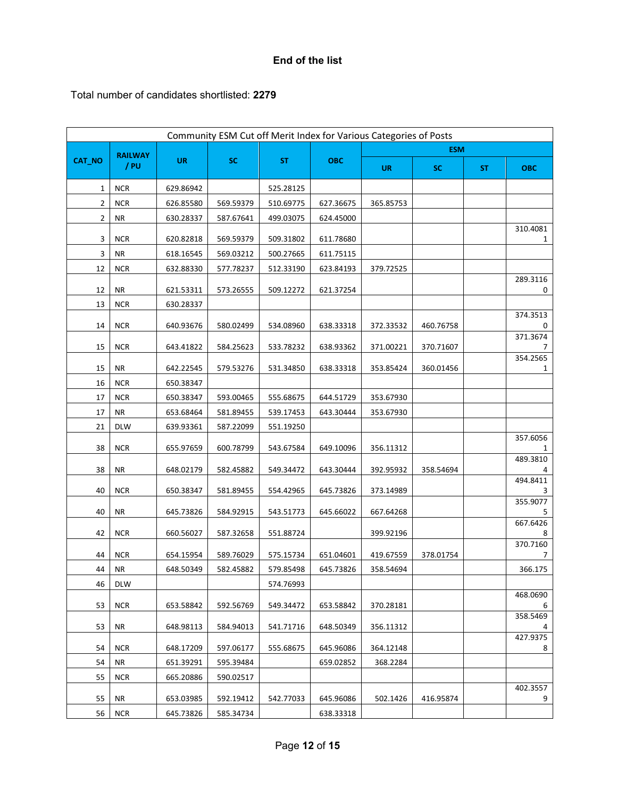## **End of the list**

Total number of candidates shortlisted: **2279**

|        |                |           | Community ESM Cut off Merit Index for Various Categories of Posts |           |            |           |            |     |               |
|--------|----------------|-----------|-------------------------------------------------------------------|-----------|------------|-----------|------------|-----|---------------|
|        | <b>RAILWAY</b> |           |                                                                   |           |            |           | <b>ESM</b> |     |               |
| CAT_NO | / PU           | <b>UR</b> | <b>SC</b>                                                         | <b>ST</b> | <b>OBC</b> | <b>UR</b> | <b>SC</b>  | ST. | <b>OBC</b>    |
| 1      | <b>NCR</b>     | 629.86942 |                                                                   | 525.28125 |            |           |            |     |               |
| 2      | <b>NCR</b>     | 626.85580 | 569.59379                                                         | 510.69775 | 627.36675  | 365.85753 |            |     |               |
| 2      | NR             | 630.28337 | 587.67641                                                         | 499.03075 | 624.45000  |           |            |     |               |
| 3      | <b>NCR</b>     | 620.82818 | 569.59379                                                         | 509.31802 | 611.78680  |           |            |     | 310.4081<br>1 |
| 3      | ΝR             | 618.16545 | 569.03212                                                         | 500.27665 | 611.75115  |           |            |     |               |
| 12     | <b>NCR</b>     | 632.88330 | 577.78237                                                         | 512.33190 | 623.84193  | 379.72525 |            |     |               |
| 12     | ΝR             | 621.53311 | 573.26555                                                         | 509.12272 | 621.37254  |           |            |     | 289.3116<br>0 |
| 13     | <b>NCR</b>     | 630.28337 |                                                                   |           |            |           |            |     |               |
| 14     | <b>NCR</b>     | 640.93676 | 580.02499                                                         | 534.08960 | 638.33318  | 372.33532 | 460.76758  |     | 374.3513<br>0 |
|        |                |           |                                                                   |           |            |           |            |     | 371.3674      |
| 15     | <b>NCR</b>     | 643.41822 | 584.25623                                                         | 533.78232 | 638.93362  | 371.00221 | 370.71607  |     | 7             |
| 15     | ΝR             | 642.22545 | 579.53276                                                         | 531.34850 | 638.33318  | 353.85424 | 360.01456  |     | 354.2565<br>1 |
| 16     | <b>NCR</b>     | 650.38347 |                                                                   |           |            |           |            |     |               |
| 17     | <b>NCR</b>     | 650.38347 | 593.00465                                                         | 555.68675 | 644.51729  | 353.67930 |            |     |               |
| 17     | NR             | 653.68464 | 581.89455                                                         | 539.17453 | 643.30444  | 353.67930 |            |     |               |
| 21     | <b>DLW</b>     | 639.93361 | 587.22099                                                         | 551.19250 |            |           |            |     |               |
| 38     | <b>NCR</b>     | 655.97659 | 600.78799                                                         | 543.67584 | 649.10096  | 356.11312 |            |     | 357.6056<br>1 |
| 38     | <b>NR</b>      | 648.02179 | 582.45882                                                         | 549.34472 | 643.30444  | 392.95932 | 358.54694  |     | 489.3810      |
| 40     | <b>NCR</b>     | 650.38347 | 581.89455                                                         | 554.42965 | 645.73826  | 373.14989 |            |     | 494.8411<br>3 |
| 40     | <b>NR</b>      | 645.73826 | 584.92915                                                         | 543.51773 | 645.66022  | 667.64268 |            |     | 355.9077<br>5 |
| 42     | <b>NCR</b>     | 660.56027 | 587.32658                                                         | 551.88724 |            | 399.92196 |            |     | 667.6426<br>8 |
| 44     | <b>NCR</b>     | 654.15954 | 589.76029                                                         | 575.15734 | 651.04601  | 419.67559 | 378.01754  |     | 370.7160<br>7 |
| 44     | ΝR             | 648.50349 | 582.45882                                                         | 579.85498 | 645.73826  | 358.54694 |            |     | 366.175       |
| 46     | <b>DLW</b>     |           |                                                                   | 574.76993 |            |           |            |     |               |
| 53     | <b>NCR</b>     | 653.58842 | 592.56769                                                         | 549.34472 | 653.58842  | 370.28181 |            |     | 468.0690<br>6 |
| 53     | <b>NR</b>      | 648.98113 | 584.94013                                                         | 541.71716 | 648.50349  | 356.11312 |            |     | 358.5469<br>4 |
|        |                |           |                                                                   |           |            |           |            |     | 427.9375      |
| 54     | <b>NCR</b>     | 648.17209 | 597.06177                                                         | 555.68675 | 645.96086  | 364.12148 |            |     | 8             |
| 54     | NR             | 651.39291 | 595.39484                                                         |           | 659.02852  | 368.2284  |            |     |               |
| 55     | <b>NCR</b>     | 665.20886 | 590.02517                                                         |           |            |           |            |     | 402.3557      |
| 55     | NR             | 653.03985 | 592.19412                                                         | 542.77033 | 645.96086  | 502.1426  | 416.95874  |     | 9             |
| 56     | <b>NCR</b>     | 645.73826 | 585.34734                                                         |           | 638.33318  |           |            |     |               |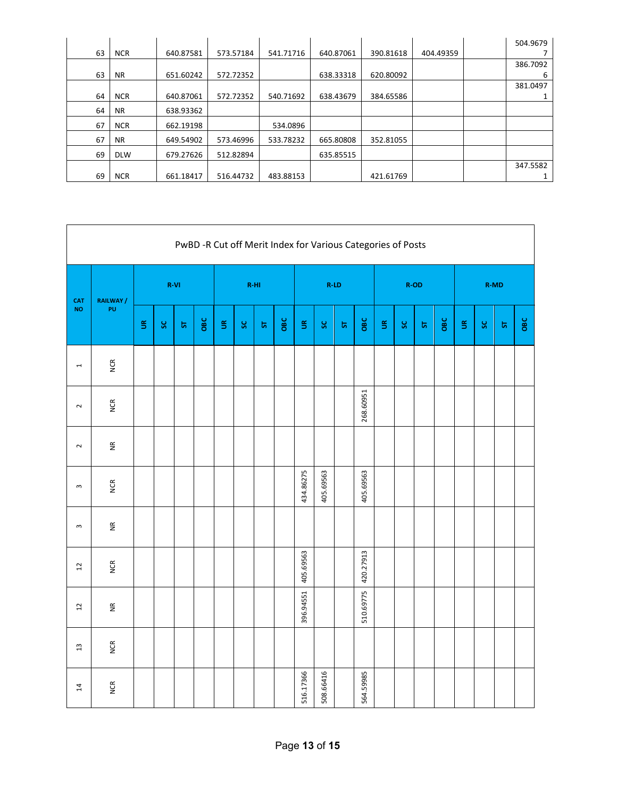|    |            |           |           |           |           |           |           | 504.9679 |
|----|------------|-----------|-----------|-----------|-----------|-----------|-----------|----------|
| 63 | <b>NCR</b> | 640.87581 | 573.57184 | 541.71716 | 640.87061 | 390.81618 | 404.49359 |          |
|    |            |           |           |           |           |           |           | 386.7092 |
| 63 | <b>NR</b>  | 651.60242 | 572.72352 |           | 638.33318 | 620.80092 |           | 6        |
|    |            |           |           |           |           |           |           | 381.0497 |
| 64 | <b>NCR</b> | 640.87061 | 572.72352 | 540.71692 | 638.43679 | 384.65586 |           |          |
| 64 | <b>NR</b>  | 638.93362 |           |           |           |           |           |          |
| 67 | <b>NCR</b> | 662.19198 |           | 534.0896  |           |           |           |          |
| 67 | <b>NR</b>  | 649.54902 | 573.46996 | 533.78232 | 665.80808 | 352.81055 |           |          |
| 69 | <b>DLW</b> | 679.27626 | 512.82894 |           | 635.85515 |           |           |          |
|    |            |           |           |           |           |           |           | 347.5582 |
| 69 | <b>NCR</b> | 661.18417 | 516.44732 | 483.88153 |           | 421.61769 |           |          |

|                         | PwBD -R Cut off Merit Index for Various Categories of Posts |                          |     |           |     |                          |         |           |     |                          |           |           |           |                          |         |           |     |                          |              |           |     |
|-------------------------|-------------------------------------------------------------|--------------------------|-----|-----------|-----|--------------------------|---------|-----------|-----|--------------------------|-----------|-----------|-----------|--------------------------|---------|-----------|-----|--------------------------|--------------|-----------|-----|
| <b>CAT</b><br><b>NO</b> | RAILWAY /                                                   | R-VI                     |     |           |     | R-HI                     |         |           |     | $R$ -LD                  |           |           |           |                          | $R$ -OD |           |     | <b>R-MD</b>              |              |           |     |
|                         | PU                                                          | $\widetilde{\mathbb{S}}$ | ပ္တ | ${\bf 5}$ | OBC | $\widetilde{\mathbb{S}}$ | $\bf S$ | ${\bf 5}$ | OBC | $\widetilde{\mathbb{S}}$ | $\bf S$   | ${\bf 5}$ | OBC       | $\widetilde{\mathbb{S}}$ | $\bf S$ | ${\bf 5}$ | OBC | $\widetilde{\mathbb{S}}$ | $\mathbf{s}$ | ${\bf 2}$ | OBC |
| $\overline{ }$          | <b>NCR</b>                                                  |                          |     |           |     |                          |         |           |     |                          |           |           |           |                          |         |           |     |                          |              |           |     |
| $\sim$                  | <b>NCR</b>                                                  |                          |     |           |     |                          |         |           |     |                          |           |           | 268.60951 |                          |         |           |     |                          |              |           |     |
| $\sim$                  | $\widetilde{\Xi}$                                           |                          |     |           |     |                          |         |           |     |                          |           |           |           |                          |         |           |     |                          |              |           |     |
| $\sim$                  | <b>NCR</b>                                                  |                          |     |           |     |                          |         |           |     | 434.86275                | 405.69563 |           | 405.69563 |                          |         |           |     |                          |              |           |     |
| $\omega$                | $\widetilde{\Xi}$                                           |                          |     |           |     |                          |         |           |     |                          |           |           |           |                          |         |           |     |                          |              |           |     |
| $2 \,$                  | <b>NCR</b>                                                  |                          |     |           |     |                          |         |           |     | 405.69563                |           |           | 420.27913 |                          |         |           |     |                          |              |           |     |
| $\overline{c}$          | $\widetilde{\Xi}$                                           |                          |     |           |     |                          |         |           |     | 396.94551                |           |           | 510.69775 |                          |         |           |     |                          |              |           |     |
| $\overline{13}$         | <b>NCR</b>                                                  |                          |     |           |     |                          |         |           |     |                          |           |           |           |                          |         |           |     |                          |              |           |     |
| 14                      | <b>NCR</b>                                                  |                          |     |           |     |                          |         |           |     | 516.17366                | 508.66416 |           | 564.59985 |                          |         |           |     |                          |              |           |     |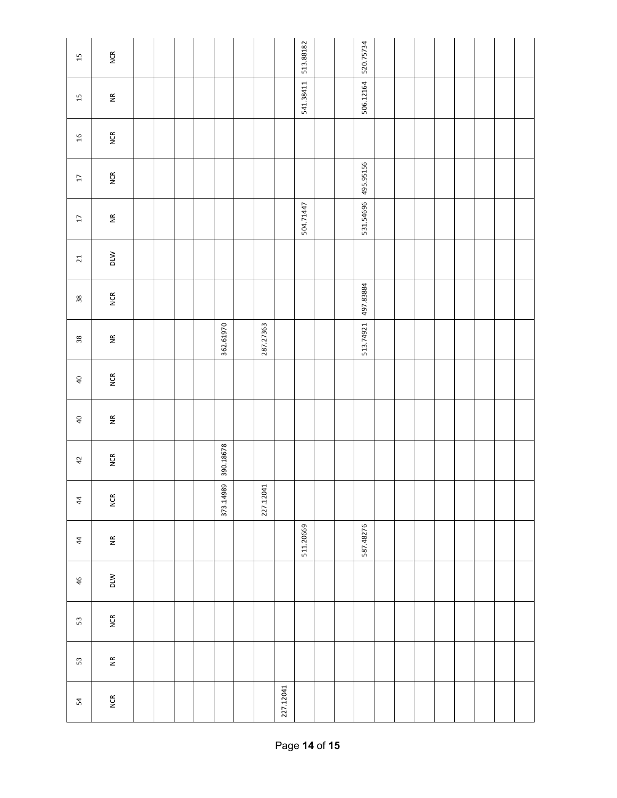| 15                      | <b>NCR</b>        |  |  |           |           |           | 513.88182 |  | 520.75734 |  |  |  |  |
|-------------------------|-------------------|--|--|-----------|-----------|-----------|-----------|--|-----------|--|--|--|--|
| $15$                    | $\widetilde{\Xi}$ |  |  |           |           |           | 541.38411 |  | 506.12164 |  |  |  |  |
| $\frac{16}{2}$          | <b>NCR</b>        |  |  |           |           |           |           |  |           |  |  |  |  |
| $\overline{\mathbb{L}}$ | <b>NCR</b>        |  |  |           |           |           |           |  | 495.95156 |  |  |  |  |
| $\overline{\mathbb{L}}$ | $\widetilde{\Xi}$ |  |  |           |           |           | 504.71447 |  | 531.54696 |  |  |  |  |
| 21                      | DLW               |  |  |           |           |           |           |  |           |  |  |  |  |
| $38\,$                  | <b>NCR</b>        |  |  |           |           |           |           |  | 497.83884 |  |  |  |  |
| $38\,$                  | $\widetilde{\Xi}$ |  |  | 362.61970 | 287.27363 |           |           |  | 513.74921 |  |  |  |  |
| $\sqrt{4}$              | <b>NCR</b>        |  |  |           |           |           |           |  |           |  |  |  |  |
| $\overline{a}$          | $\widetilde{\Xi}$ |  |  |           |           |           |           |  |           |  |  |  |  |
| $42$                    | <b>NCR</b>        |  |  | 390.18678 |           |           |           |  |           |  |  |  |  |
| $\frac{4}{3}$           | <b>NCR</b>        |  |  | 373.14989 | 227.12041 |           |           |  |           |  |  |  |  |
| 44                      | $\widetilde{\Xi}$ |  |  |           |           |           | 511.20669 |  | 587.48276 |  |  |  |  |
| 46                      | DLW               |  |  |           |           |           |           |  |           |  |  |  |  |
| $53\,$                  | <b>NCR</b>        |  |  |           |           |           |           |  |           |  |  |  |  |
| $53\,$                  | $\widetilde{\Xi}$ |  |  |           |           |           |           |  |           |  |  |  |  |
| 54                      | <b>NCR</b>        |  |  |           |           | 227.12041 |           |  |           |  |  |  |  |